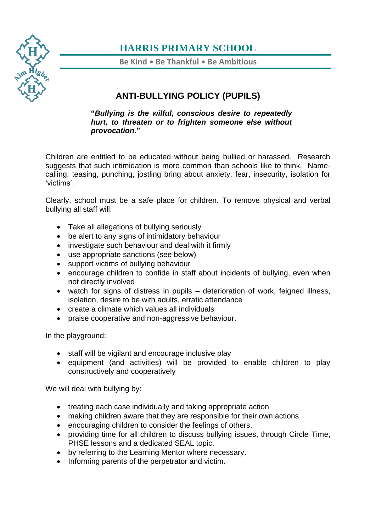

## **HARRIS PRIMARY SCHOOL**

**Be Kind** • **Be Thankful** • **Be Ambitious**

### **ANTI-BULLYING POLICY (PUPILS)**

**"***Bullying is the wilful, conscious desire to repeatedly hurt, to threaten or to frighten someone else without provocation***."**

Children are entitled to be educated without being bullied or harassed. Research suggests that such intimidation is more common than schools like to think. Namecalling, teasing, punching, jostling bring about anxiety, fear, insecurity, isolation for 'victims'.

Clearly, school must be a safe place for children. To remove physical and verbal bullying all staff will:

- Take all allegations of bullying seriously
- be alert to any signs of intimidatory behaviour
- investigate such behaviour and deal with it firmly
- use appropriate sanctions (see below)
- support victims of bullying behaviour
- encourage children to confide in staff about incidents of bullying, even when not directly involved
- watch for signs of distress in pupils deterioration of work, feigned illness, isolation, desire to be with adults, erratic attendance
- create a climate which values all individuals
- praise cooperative and non-aggressive behaviour.

In the playground:

- staff will be vigilant and encourage inclusive play
- equipment (and activities) will be provided to enable children to play constructively and cooperatively

We will deal with bullying by:

- treating each case individually and taking appropriate action
- making children aware that they are responsible for their own actions
- encouraging children to consider the feelings of others.
- providing time for all children to discuss bullying issues, through Circle Time, PHSE lessons and a dedicated SEAL topic.
- by referring to the Learning Mentor where necessary.
- Informing parents of the perpetrator and victim.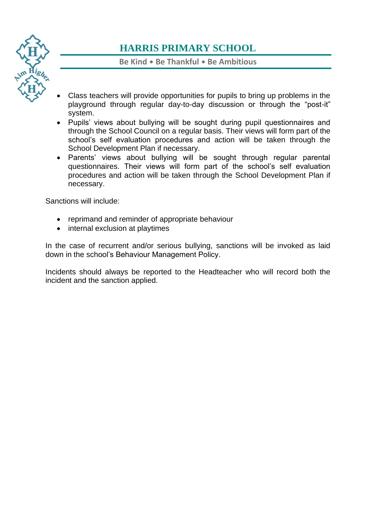

# **HARRIS PRIMARY SCHOOL**

#### **Be Kind** • **Be Thankful** • **Be Ambitious**

- Class teachers will provide opportunities for pupils to bring up problems in the playground through regular day-to-day discussion or through the "post-it" system.
- Pupils' views about bullying will be sought during pupil questionnaires and through the School Council on a regular basis. Their views will form part of the school's self evaluation procedures and action will be taken through the School Development Plan if necessary.
- Parents' views about bullying will be sought through regular parental questionnaires. Their views will form part of the school's self evaluation procedures and action will be taken through the School Development Plan if necessary.

Sanctions will include:

- reprimand and reminder of appropriate behaviour
- internal exclusion at playtimes

In the case of recurrent and/or serious bullying, sanctions will be invoked as laid down in the school's Behaviour Management Policy.

Incidents should always be reported to the Headteacher who will record both the incident and the sanction applied.